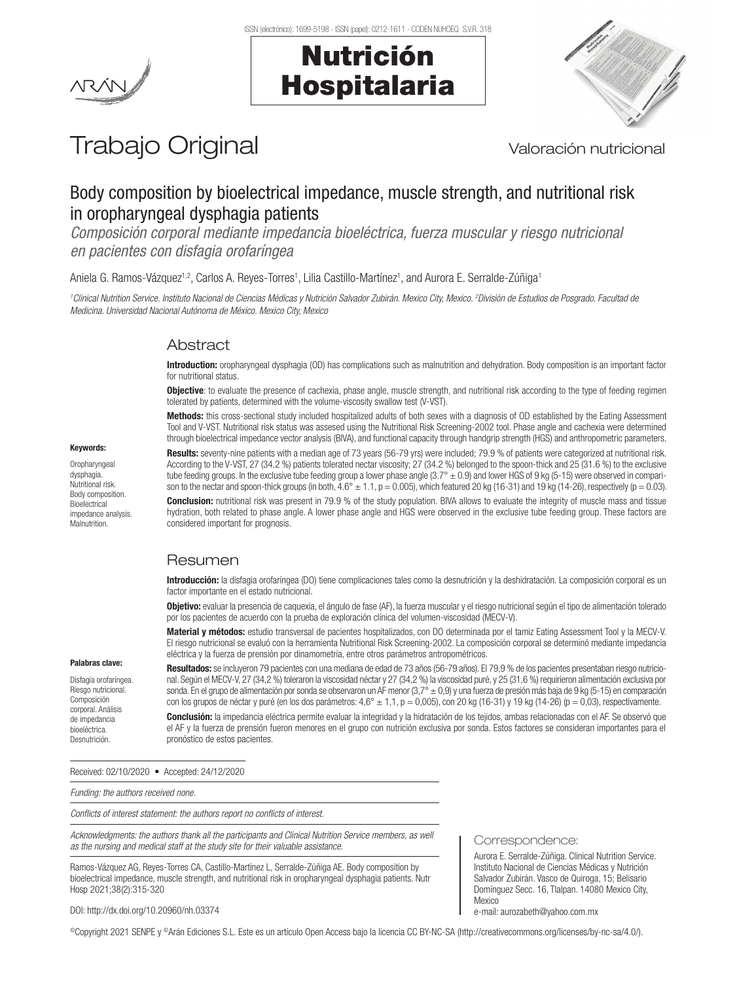Nutrición

Hospitalaria





# Trabajo Original Valoración nutricional

# Body composition by bioelectrical impedance, muscle strength, and nutritional risk in oropharyngeal dysphagia patients

*Composición corporal mediante impedancia bioeléctrica, fuerza muscular y riesgo nutricional en pacientes con disfagia orofaríngea*

Aniela G. Ramos-Vázquez<sup>1,2</sup>, Carlos A. Reyes-Torres<sup>1</sup>, Lilia Castillo-Martínez<sup>1</sup>, and Aurora E. Serralde-Zúñiga<sup>1</sup>

*1 Clinical Nutrition Service. Instituto Nacional de Ciencias Médicas y Nutrición Salvador Zubirán. Mexico City, Mexico. 2 División de Estudios de Posgrado. Facultad de Medicina. Universidad Nacional Autónoma de México. Mexico City, Mexico*

# **Abstract**

Introduction: oropharyngeal dysphagia (OD) has complications such as malnutrition and dehydration. Body composition is an important factor for nutritional status.

Objective: to evaluate the presence of cachexia, phase angle, muscle strength, and nutritional risk according to the type of feeding regimen tolerated by patients, determined with the volume-viscosity swallow test (V-VST).

Methods: this cross-sectional study included hospitalized adults of both sexes with a diagnosis of OD established by the Eating Assessment Tool and V-VST. Nutritional risk status was assesed using the Nutritional Risk Screening-2002 tool. Phase angle and cachexia were determined through bioelectrical impedance vector analysis (BIVA), and functional capacity through handgrip strength (HGS) and anthropometric parameters.

Results: seventy-nine patients with a median age of 73 years (56-79 yrs) were included; 79.9 % of patients were categorized at nutritional risk. According to the V-VST, 27 (34.2 %) patients tolerated nectar viscosity; 27 (34.2 %) belonged to the spoon-thick and 25 (31.6 %) to the exclusive tube feeding groups. In the exclusive tube feeding group a lower phase angle (3.7° ± 0.9) and lower HGS of 9 kg (5-15) were observed in comparison to the nectar and spoon-thick groups (in both, 4.6°  $\pm$  1.1, p = 0.005), which featured 20 kg (16-31) and 19 kg (14-26), respectively (p = 0.03).

Conclusion: nutritional risk was present in 79.9 % of the study population. BIVA allows to evaluate the integrity of muscle mass and tissue hydration, both related to phase angle. A lower phase angle and HGS were observed in the exclusive tube feeding group. These factors are considered important for prognosis.

# Resumen

Introducción: la disfagia orofaríngea (DO) tiene complicaciones tales como la desnutrición y la deshidratación. La composición corporal es un factor importante en el estado nutricional.

Objetivo: evaluar la presencia de caquexia, el ángulo de fase (AF), la fuerza muscular y el riesgo nutricional según el tipo de alimentación tolerado por los pacientes de acuerdo con la prueba de exploración clínica del volumen-viscosidad (MECV-V).

Material y métodos: estudio transversal de pacientes hospitalizados, con DO determinada por el tamiz Eating Assessment Tool y la MECV-V. El riesgo nutricional se evaluó con la herramienta Nutritional Risk Screening-2002. La composición corporal se determinó mediante impedancia eléctrica y la fuerza de prensión por dinamometría, entre otros parámetros antropométricos.

#### Palabras clave:

Disfagia orofaríngea. Riesgo nutricional. Composición corporal. Análisis de impedancia bioeléctrica. **Desnutrición** 

Resultados: se incluyeron 79 pacientes con una mediana de edad de 73 años (56-79 años). El 79,9 % de los pacientes presentaban riesgo nutricional. Según el MECV-V, 27 (34,2 %) toleraron la viscosidad néctar y 27 (34,2 %) la viscosidad puré, y 25 (31,6 %) requirieron alimentación exclusiva por sonda. En el grupo de alimentación por sonda se observaron un AF menor (3,7° ± 0,9) y una fuerza de presión más baja de 9 kg (5-15) en comparación con los grupos de néctar y puré (en los dos parámetros: 4,6° ± 1,1, p = 0,005), con 20 kg (16-31) y 19 kg (14-26) (p = 0,03), respectivamente. Conclusión: la impedancia eléctrica permite evaluar la integridad y la hidratación de los tejidos, ambas relacionadas con el AF. Se observó que

el AF y la fuerza de prensión fueron menores en el grupo con nutrición exclusiva por sonda. Estos factores se consideran importantes para el pronóstico de estos pacientes.

Received: 02/10/2020 • Accepted: 24/12/2020

*Funding: the authors received none.*

DOI: http://dx.doi.org/10.20960/nh.03374

*Conflicts of interest statement: the authors report no conflicts of interest.*

*Acknowledgments: the authors thank all the participants and Clinical Nutrition Service members, as well as the nursing and medical staff at the study site for their valuable assistance.*

Ramos-Vázquez AG, Reyes-Torres CA, Castillo-Martínez L, Serralde-Zúñiga AE. Body composition by bioelectrical impedance, muscle strength, and nutritional risk in oropharyngeal dysphagia patients. Nutr Hosp 2021;38(2):315-320

#### Correspondence:

Aurora E. Serralde-Zúñiga. Clinical Nutrition Service. Instituto Nacional de Ciencias Médicas y Nutrición Salvador Zubirán. Vasco de Quiroga, 15; Belisario Domínguez Secc. 16, Tlalpan. 14080 Mexico City, Mexico e-mail: aurozabeth@yahoo.com.mx

©Copyright 2021 SENPE y ©Arán Ediciones S.L. Este es un artículo Open Access bajo la licencia CC BY-NC-SA (http://creativecommons.org/licenses/by-nc-sa/4.0/).

# Keywords:

Oropharyngeal dysphagia. Nutritional risk. Body composition. **Bioelectrical** impedance analysis. Malnutrition.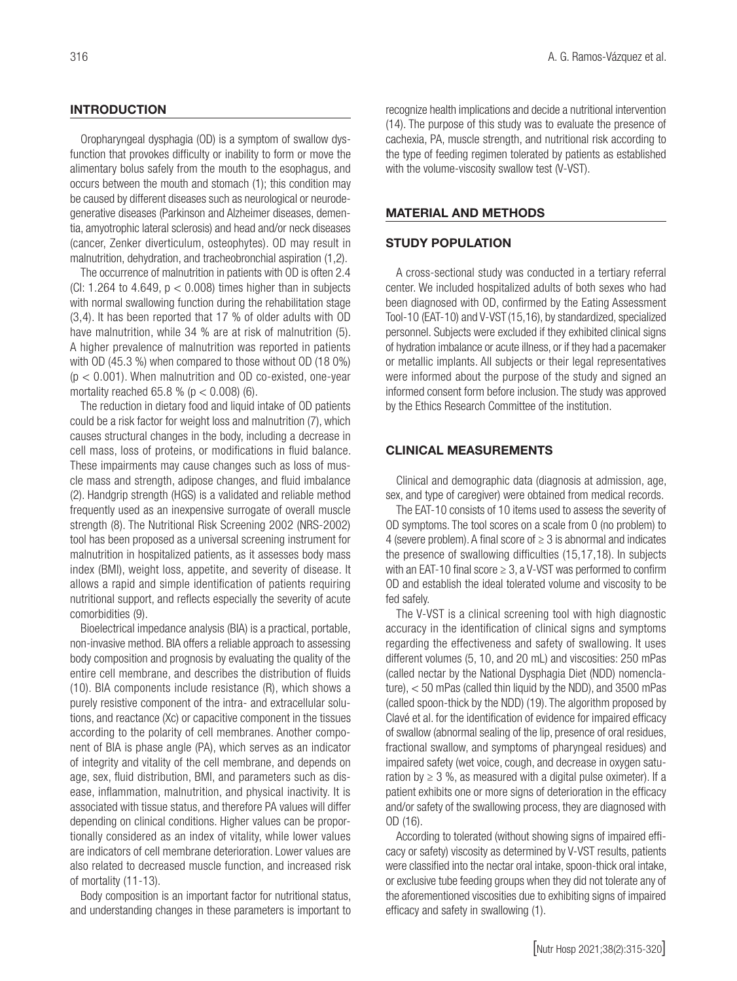### **INTRODUCTION**

Oropharyngeal dysphagia (OD) is a symptom of swallow dysfunction that provokes difficulty or inability to form or move the alimentary bolus safely from the mouth to the esophagus, and occurs between the mouth and stomach (1); this condition may be caused by different diseases such as neurological or neurodegenerative diseases (Parkinson and Alzheimer diseases, dementia, amyotrophic lateral sclerosis) and head and/or neck diseases (cancer, Zenker diverticulum, osteophytes). OD may result in malnutrition, dehydration, and tracheobronchial aspiration (1,2).

The occurrence of malnutrition in patients with OD is often 2.4 (CI: 1.264 to 4.649,  $p < 0.008$ ) times higher than in subjects with normal swallowing function during the rehabilitation stage (3,4). It has been reported that 17 % of older adults with OD have malnutrition, while 34 % are at risk of malnutrition (5). A higher prevalence of malnutrition was reported in patients with OD (45.3 %) when compared to those without OD (18 0%)  $(p < 0.001)$ . When malnutrition and OD co-existed, one-year mortality reached 65.8 % ( $p < 0.008$ ) (6).

The reduction in dietary food and liquid intake of OD patients could be a risk factor for weight loss and malnutrition (7), which causes structural changes in the body, including a decrease in cell mass, loss of proteins, or modifications in fluid balance. These impairments may cause changes such as loss of muscle mass and strength, adipose changes, and fluid imbalance (2). Handgrip strength (HGS) is a validated and reliable method frequently used as an inexpensive surrogate of overall muscle strength (8). The Nutritional Risk Screening 2002 (NRS-2002) tool has been proposed as a universal screening instrument for malnutrition in hospitalized patients, as it assesses body mass index (BMI), weight loss, appetite, and severity of disease. It allows a rapid and simple identification of patients requiring nutritional support, and reflects especially the severity of acute comorbidities (9).

Bioelectrical impedance analysis (BIA) is a practical, portable, non-invasive method. BIA offers a reliable approach to assessing body composition and prognosis by evaluating the quality of the entire cell membrane, and describes the distribution of fluids (10). BIA components include resistance (R), which shows a purely resistive component of the intra- and extracellular solutions, and reactance (Xc) or capacitive component in the tissues according to the polarity of cell membranes. Another component of BIA is phase angle (PA), which serves as an indicator of integrity and vitality of the cell membrane, and depends on age, sex, fluid distribution, BMI, and parameters such as disease, inflammation, malnutrition, and physical inactivity. It is associated with tissue status, and therefore PA values will differ depending on clinical conditions. Higher values can be proportionally considered as an index of vitality, while lower values are indicators of cell membrane deterioration. Lower values are also related to decreased muscle function, and increased risk of mortality (11-13).

Body composition is an important factor for nutritional status, and understanding changes in these parameters is important to recognize health implications and decide a nutritional intervention (14). The purpose of this study was to evaluate the presence of cachexia, PA, muscle strength, and nutritional risk according to the type of feeding regimen tolerated by patients as established with the volume-viscosity swallow test (V-VST).

#### MATERIAL AND METHODS

## STUDY POPULATION

A cross-sectional study was conducted in a tertiary referral center. We included hospitalized adults of both sexes who had been diagnosed with OD, confirmed by the Eating Assessment Tool-10 (EAT-10) and V-VST (15,16), by standardized, specialized personnel. Subjects were excluded if they exhibited clinical signs of hydration imbalance or acute illness, or if they had a pacemaker or metallic implants. All subjects or their legal representatives were informed about the purpose of the study and signed an informed consent form before inclusion. The study was approved by the Ethics Research Committee of the institution.

## CLINICAL MEASUREMENTS

Clinical and demographic data (diagnosis at admission, age, sex, and type of caregiver) were obtained from medical records.

The EAT-10 consists of 10 items used to assess the severity of OD symptoms. The tool scores on a scale from 0 (no problem) to 4 (severe problem). A final score of  $\geq$  3 is abnormal and indicates the presence of swallowing difficulties (15,17,18). In subjects with an EAT-10 final score  $\geq$  3, a V-VST was performed to confirm OD and establish the ideal tolerated volume and viscosity to be fed safely.

The V-VST is a clinical screening tool with high diagnostic accuracy in the identification of clinical signs and symptoms regarding the effectiveness and safety of swallowing. It uses different volumes (5, 10, and 20 mL) and viscosities: 250 mPas (called nectar by the National Dysphagia Diet (NDD) nomenclature), < 50 mPas (called thin liquid by the NDD), and 3500 mPas (called spoon-thick by the NDD) (19). The algorithm proposed by Clavé et al. for the identification of evidence for impaired efficacy of swallow (abnormal sealing of the lip, presence of oral residues, fractional swallow, and symptoms of pharyngeal residues) and impaired safety (wet voice, cough, and decrease in oxygen saturation by  $\geq$  3 %, as measured with a digital pulse oximeter). If a patient exhibits one or more signs of deterioration in the efficacy and/or safety of the swallowing process, they are diagnosed with OD (16).

According to tolerated (without showing signs of impaired efficacy or safety) viscosity as determined by V-VST results, patients were classified into the nectar oral intake, spoon-thick oral intake, or exclusive tube feeding groups when they did not tolerate any of the aforementioned viscosities due to exhibiting signs of impaired efficacy and safety in swallowing (1).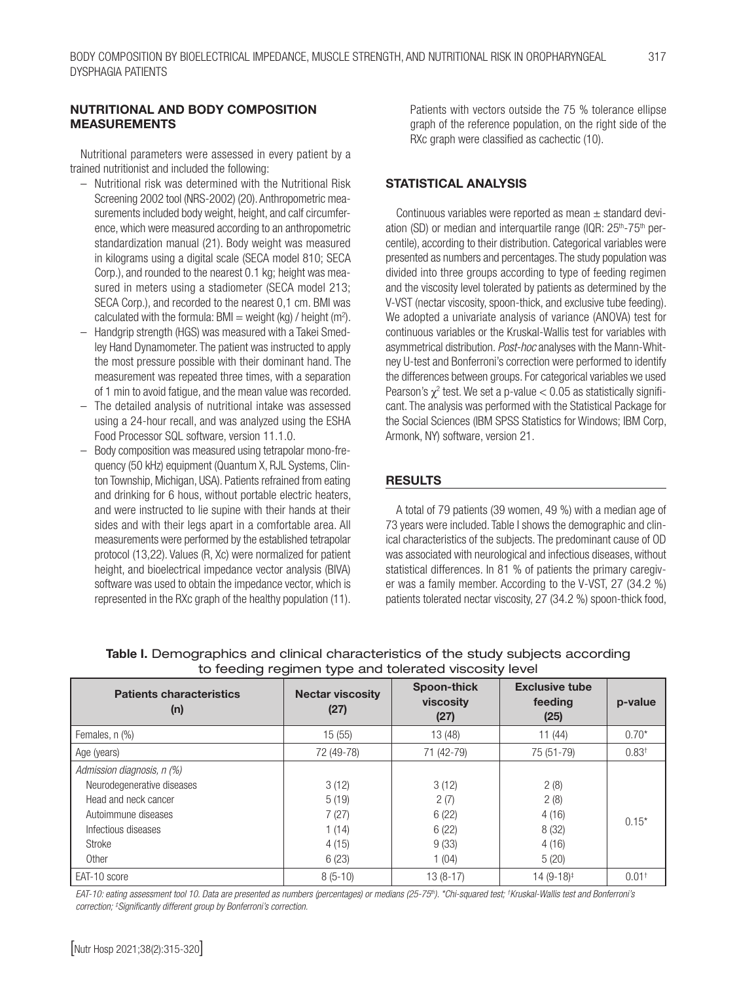## NUTRITIONAL AND BODY COMPOSITION MEASUREMENTS

Nutritional parameters were assessed in every patient by a trained nutritionist and included the following:

- Nutritional risk was determined with the Nutritional Risk Screening 2002 tool (NRS-2002) (20). Anthropometric measurements included body weight, height, and calf circumference, which were measured according to an anthropometric standardization manual (21). Body weight was measured in kilograms using a digital scale (SECA model 810; SECA Corp.), and rounded to the nearest 0.1 kg; height was measured in meters using a stadiometer (SECA model 213; SECA Corp.), and recorded to the nearest 0,1 cm. BMI was calculated with the formula: BMI = weight (kg) / height (m<sup>2</sup>).
- Handgrip strength (HGS) was measured with a Takei Smedley Hand Dynamometer. The patient was instructed to apply the most pressure possible with their dominant hand. The measurement was repeated three times, with a separation of 1 min to avoid fatigue, and the mean value was recorded.
- The detailed analysis of nutritional intake was assessed using a 24-hour recall, and was analyzed using the ESHA Food Processor SQL software, version 11.1.0.
- Body composition was measured using tetrapolar mono-frequency (50 kHz) equipment (Quantum X, RJL Systems, Clinton Township, Michigan, USA). Patients refrained from eating and drinking for 6 hous, without portable electric heaters, and were instructed to lie supine with their hands at their sides and with their legs apart in a comfortable area. All measurements were performed by the established tetrapolar protocol (13,22). Values (R, Xc) were normalized for patient height, and bioelectrical impedance vector analysis (BIVA) software was used to obtain the impedance vector, which is represented in the RXc graph of the healthy population (11).

Patients with vectors outside the 75 % tolerance ellipse graph of the reference population, on the right side of the RXc graph were classified as cachectic (10).

## STATISTICAL ANALYSIS

Continuous variables were reported as mean  $\pm$  standard deviation (SD) or median and interquartile range (IQR: 25<sup>th</sup>-75<sup>th</sup> percentile), according to their distribution. Categorical variables were presented as numbers and percentages. The study population was divided into three groups according to type of feeding regimen and the viscosity level tolerated by patients as determined by the V-VST (nectar viscosity, spoon-thick, and exclusive tube feeding). We adopted a univariate analysis of variance (ANOVA) test for continuous variables or the Kruskal-Wallis test for variables with asymmetrical distribution. *Post-hoc* analyses with the Mann-Whitney U-test and Bonferroni's correction were performed to identify the differences between groups. For categorical variables we used Pearson's  $\chi^2$  test. We set a p-value  $< 0.05$  as statistically significant. The analysis was performed with the Statistical Package for the Social Sciences (IBM SPSS Statistics for Windows; IBM Corp, Armonk, NY) software, version 21.

## RESULTS

A total of 79 patients (39 women, 49 %) with a median age of 73 years were included. Table I shows the demographic and clinical characteristics of the subjects. The predominant cause of OD was associated with neurological and infectious diseases, without statistical differences. In 81 % of patients the primary caregiver was a family member. According to the V-VST, 27 (34.2 %) patients tolerated nectar viscosity, 27 (34.2 %) spoon-thick food,

| <b>Patients characteristics</b><br>(n) | <b>Nectar viscosity</b><br>(27) | Spoon-thick<br>viscosity<br>(27) | <b>Exclusive tube</b><br>feeding<br>(25) | p-value             |
|----------------------------------------|---------------------------------|----------------------------------|------------------------------------------|---------------------|
| Females, n (%)                         | 15(55)                          | 13 (48)                          | 11(44)                                   | $0.70*$             |
| Age (years)                            | 72 (49-78)                      | 71 (42-79)                       | 75 (51-79)                               | 0.83 <sup>†</sup>   |
| Admission diagnosis, n (%)             |                                 |                                  |                                          |                     |
| Neurodegenerative diseases             | 3(12)                           | 3(12)                            | 2(8)                                     |                     |
| Head and neck cancer                   | 5(19)                           | 2(7)                             | 2(8)                                     |                     |
| Autoimmune diseases                    | 7(27)                           | 6(22)                            | 4(16)                                    | $0.15*$             |
| Infectious diseases                    | 1(14)                           | 6(22)                            | 8(32)                                    |                     |
| Stroke                                 | 4(15)                           | 9(33)                            | 4(16)                                    |                     |
| Other                                  | 6(23)                           | 1(04)                            | 5(20)                                    |                     |
| EAT-10 score                           | $8(5-10)$                       | $13(8-17)$                       | $14(9-18)^{\ddagger}$                    | $0.01$ <sup>+</sup> |

Table I. Demographics and clinical characteristics of the study subjects according to feeding regimen type and tolerated viscosity level

*EAT-10: eating assessment tool 10. Data are presented as numbers (percentages) or medians (25-75th). \*Chi-squared test; † Kruskal-Wallis test and Bonferroni's correction; ‡ Significantly different group by Bonferroni's correction.*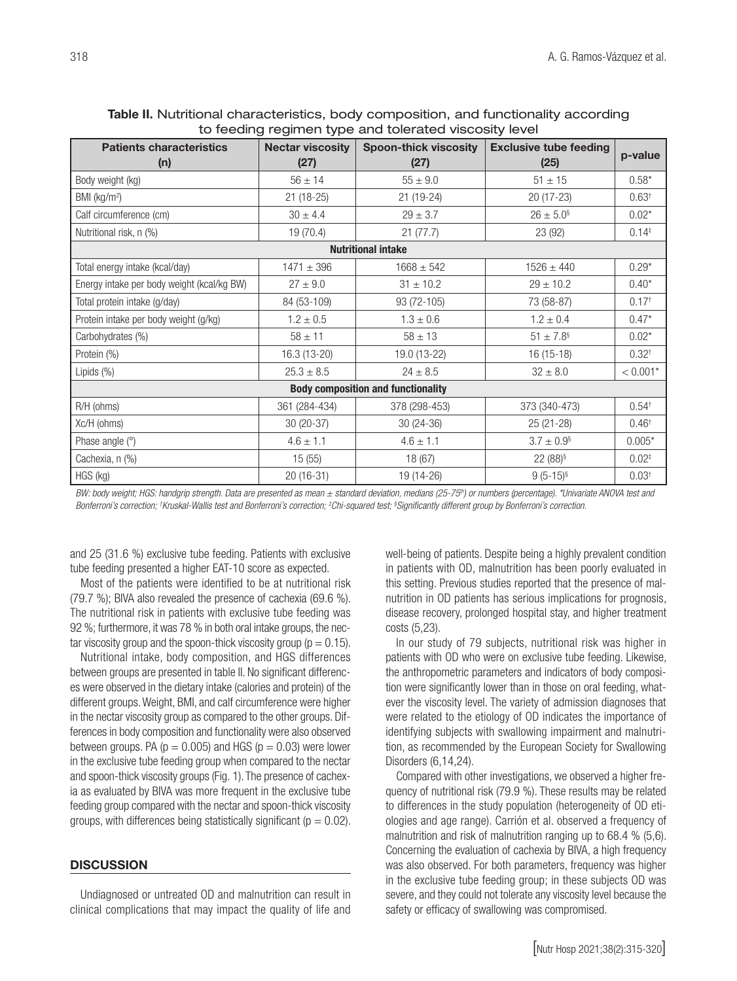| to recurrig regiment type and tolerated viscosity level |                                 |                                      |                                       |                   |  |  |  |
|---------------------------------------------------------|---------------------------------|--------------------------------------|---------------------------------------|-------------------|--|--|--|
| <b>Patients characteristics</b><br>(n)                  | <b>Nectar viscosity</b><br>(27) | <b>Spoon-thick viscosity</b><br>(27) | <b>Exclusive tube feeding</b><br>(25) | p-value           |  |  |  |
| Body weight (kg)                                        | $56 \pm 14$                     | $55 \pm 9.0$                         | $51 \pm 15$                           | $0.58*$           |  |  |  |
| BMI (kg/m <sup>2</sup> )                                | $21(18-25)$                     | 21 (19-24)                           | 20 (17-23)                            | 0.63 <sup>†</sup> |  |  |  |
| Calf circumference (cm)                                 | $30 \pm 4.4$                    | $29 \pm 3.7$                         | $26 \pm 5.0$ <sup>§</sup>             | $0.02*$           |  |  |  |
| Nutritional risk, n (%)                                 | 19 (70.4)                       | 21(77.7)                             | 23 (92)                               | $0.14*$           |  |  |  |
| <b>Nutritional intake</b>                               |                                 |                                      |                                       |                   |  |  |  |
| Total energy intake (kcal/day)                          | $1471 \pm 396$                  | $1668 \pm 542$                       | $1526 \pm 440$                        | $0.29*$           |  |  |  |
| Energy intake per body weight (kcal/kg BW)              | $27 \pm 9.0$                    | $31 \pm 10.2$                        | $29 \pm 10.2$                         | $0.40*$           |  |  |  |
| Total protein intake (g/day)                            | 84 (53-109)                     | 93 (72-105)                          | 73 (58-87)                            | 0.17 <sup>†</sup> |  |  |  |
| Protein intake per body weight (g/kg)                   | $1.2 \pm 0.5$                   | $1.3 \pm 0.6$                        | $1.2 \pm 0.4$                         | $0.47*$           |  |  |  |
| Carbohydrates (%)                                       | $58 \pm 11$                     | $58 \pm 13$                          | $51 \pm 7.8$ <sup>§</sup>             | $0.02*$           |  |  |  |
| Protein (%)                                             | 16.3 (13-20)                    | 19.0 (13-22)                         | 16 (15-18)                            | $0.32^{+}$        |  |  |  |
| Lipids (%)                                              | $25.3 \pm 8.5$                  | $24 \pm 8.5$                         | $32 \pm 8.0$                          | $< 0.001*$        |  |  |  |
| <b>Body composition and functionality</b>               |                                 |                                      |                                       |                   |  |  |  |
| R/H (ohms)                                              | 361 (284-434)                   | 378 (298-453)                        | 373 (340-473)                         | $0.54^{+}$        |  |  |  |
| Xc/H (ohms)                                             | 30 (20-37)                      | 30 (24-36)                           | 25 (21-28)                            | $0.46^{\dagger}$  |  |  |  |
| Phase angle (°)                                         | $4.6 \pm 1.1$                   | $4.6 \pm 1.1$                        | $3.7 \pm 0.9$ <sup>§</sup>            | $0.005*$          |  |  |  |
| Cachexia, n (%)                                         | 15(55)                          | 18 (67)                              | $22(88)^{6}$                          | $0.02*$           |  |  |  |
| HGS (kg)                                                | $20(16-31)$                     | 19 (14-26)                           | $9(5-15)^{6}$                         | 0.03 <sup>†</sup> |  |  |  |

| <b>Table II.</b> Nutritional characteristics, body composition, and functionality according |  |  |  |  |  |  |
|---------------------------------------------------------------------------------------------|--|--|--|--|--|--|
| to feeding regimen type and tolerated viscosity level                                       |  |  |  |  |  |  |

*BW: body weight; HGS: handgrip strength. Data are presented as mean ± standard deviation, medians (25-75th) or numbers (percentage). \*Univariate ANOVA test and Bonferroni's correction; † Kruskal-Wallis test and Bonferroni's correction; ‡ Chi-squared test; § Significantly different group by Bonferroni's correction.*

and 25 (31.6 %) exclusive tube feeding. Patients with exclusive tube feeding presented a higher EAT-10 score as expected.

Most of the patients were identified to be at nutritional risk (79.7 %); BIVA also revealed the presence of cachexia (69.6 %). The nutritional risk in patients with exclusive tube feeding was 92 %; furthermore, it was 78 % in both oral intake groups, the nectar viscosity group and the spoon-thick viscosity group ( $p = 0.15$ ).

Nutritional intake, body composition, and HGS differences between groups are presented in table II. No significant differences were observed in the dietary intake (calories and protein) of the different groups. Weight, BMI, and calf circumference were higher in the nectar viscosity group as compared to the other groups. Differences in body composition and functionality were also observed between groups. PA ( $p = 0.005$ ) and HGS ( $p = 0.03$ ) were lower in the exclusive tube feeding group when compared to the nectar and spoon-thick viscosity groups (Fig. 1). The presence of cachexia as evaluated by BIVA was more frequent in the exclusive tube feeding group compared with the nectar and spoon-thick viscosity groups, with differences being statistically significant ( $p = 0.02$ ).

## **DISCUSSION**

Undiagnosed or untreated OD and malnutrition can result in clinical complications that may impact the quality of life and well-being of patients. Despite being a highly prevalent condition in patients with OD, malnutrition has been poorly evaluated in this setting. Previous studies reported that the presence of malnutrition in OD patients has serious implications for prognosis, disease recovery, prolonged hospital stay, and higher treatment costs (5,23).

In our study of 79 subjects, nutritional risk was higher in patients with OD who were on exclusive tube feeding. Likewise, the anthropometric parameters and indicators of body composition were significantly lower than in those on oral feeding, whatever the viscosity level. The variety of admission diagnoses that were related to the etiology of OD indicates the importance of identifying subjects with swallowing impairment and malnutrition, as recommended by the European Society for Swallowing Disorders (6,14,24).

Compared with other investigations, we observed a higher frequency of nutritional risk (79.9 %). These results may be related to differences in the study population (heterogeneity of OD etiologies and age range). Carrión et al. observed a frequency of malnutrition and risk of malnutrition ranging up to 68.4 % (5,6). Concerning the evaluation of cachexia by BIVA, a high frequency was also observed. For both parameters, frequency was higher in the exclusive tube feeding group; in these subjects OD was severe, and they could not tolerate any viscosity level because the safety or efficacy of swallowing was compromised.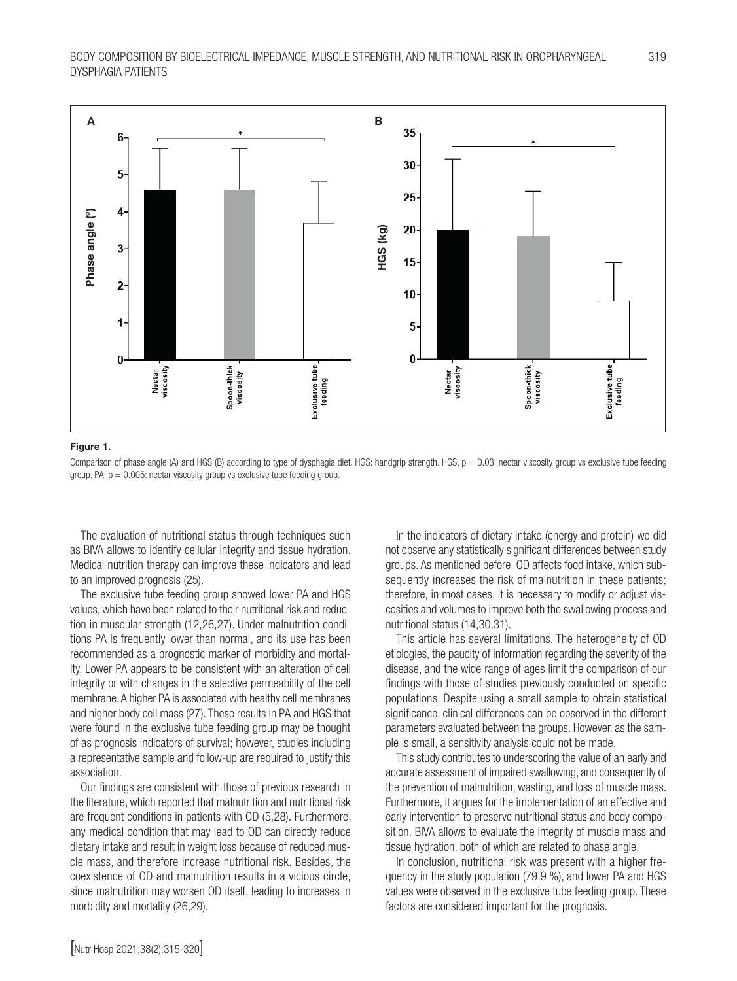

#### Figure 1.

Comparison of phase angle (A) and HGS (B) according to type of dysphagia diet. HGS: handgrip strength. HGS,  $p = 0.03$ : nectar viscosity group vs exclusive tube feeding group. PA,  $p = 0.005$ : nectar viscosity group vs exclusive tube feeding group.

The evaluation of nutritional status through techniques such as BIVA allows to identify cellular integrity and tissue hydration. Medical nutrition therapy can improve these indicators and lead to an improved prognosis (25).

The exclusive tube feeding group showed lower PA and HGS values, which have been related to their nutritional risk and reduction in muscular strength (12,26,27). Under malnutrition conditions PA is frequently lower than normal, and its use has been recommended as a prognostic marker of morbidity and mortality. Lower PA appears to be consistent with an alteration of cell integrity or with changes in the selective permeability of the cell membrane. A higher PA is associated with healthy cell membranes and higher body cell mass (27). These results in PA and HGS that were found in the exclusive tube feeding group may be thought of as prognosis indicators of survival; however, studies including a representative sample and follow-up are required to justify this association.

Our findings are consistent with those of previous research in the literature, which reported that malnutrition and nutritional risk are frequent conditions in patients with OD (5,28). Furthermore, any medical condition that may lead to OD can directly reduce dietary intake and result in weight loss because of reduced muscle mass, and therefore increase nutritional risk. Besides, the coexistence of OD and malnutrition results in a vicious circle, since malnutrition may worsen OD itself, leading to increases in morbidity and mortality (26,29).

In the indicators of dietary intake (energy and protein) we did not observe any statistically significant differences between study groups. As mentioned before, OD affects food intake, which subsequently increases the risk of malnutrition in these patients; therefore, in most cases, it is necessary to modify or adjust viscosities and volumes to improve both the swallowing process and nutritional status (14,30,31).

This article has several limitations. The heterogeneity of OD etiologies, the paucity of information regarding the severity of the disease, and the wide range of ages limit the comparison of our findings with those of studies previously conducted on specific populations. Despite using a small sample to obtain statistical significance, clinical differences can be observed in the different parameters evaluated between the groups. However, as the sample is small, a sensitivity analysis could not be made.

This study contributes to underscoring the value of an early and accurate assessment of impaired swallowing, and consequently of the prevention of malnutrition, wasting, and loss of muscle mass. Furthermore, it argues for the implementation of an effective and early intervention to preserve nutritional status and body composition. BIVA allows to evaluate the integrity of muscle mass and tissue hydration, both of which are related to phase angle.

In conclusion, nutritional risk was present with a higher frequency in the study population (79.9 %), and lower PA and HGS values were observed in the exclusive tube feeding group. These factors are considered important for the prognosis.